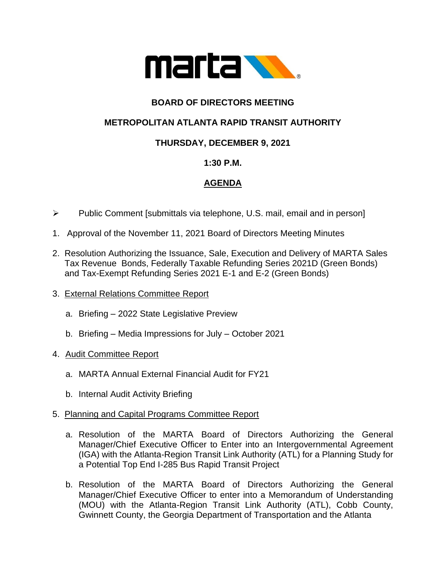

# **BOARD OF DIRECTORS MEETING**

# **METROPOLITAN ATLANTA RAPID TRANSIT AUTHORITY**

## **THURSDAY, DECEMBER 9, 2021**

#### **1:30 P.M.**

## **AGENDA**

- ➢ Public Comment [submittals via telephone, U.S. mail, email and in person]
- 1. Approval of the November 11, 2021 Board of Directors Meeting Minutes
- 2. Resolution Authorizing the Issuance, Sale, Execution and Delivery of MARTA Sales Tax Revenue Bonds, Federally Taxable Refunding Series 2021D (Green Bonds) and Tax-Exempt Refunding Series 2021 E-1 and E-2 (Green Bonds)
- 3. External Relations Committee Report
	- a. Briefing 2022 State Legislative Preview
	- b. Briefing Media Impressions for July October 2021
- 4. Audit Committee Report
	- a. MARTA Annual External Financial Audit for FY21
	- b. Internal Audit Activity Briefing
- 5. Planning and Capital Programs Committee Report
	- a. Resolution of the MARTA Board of Directors Authorizing the General Manager/Chief Executive Officer to Enter into an Intergovernmental Agreement (IGA) with the Atlanta-Region Transit Link Authority (ATL) for a Planning Study for a Potential Top End I-285 Bus Rapid Transit Project
	- b. Resolution of the MARTA Board of Directors Authorizing the General Manager/Chief Executive Officer to enter into a Memorandum of Understanding (MOU) with the Atlanta-Region Transit Link Authority (ATL), Cobb County, Gwinnett County, the Georgia Department of Transportation and the Atlanta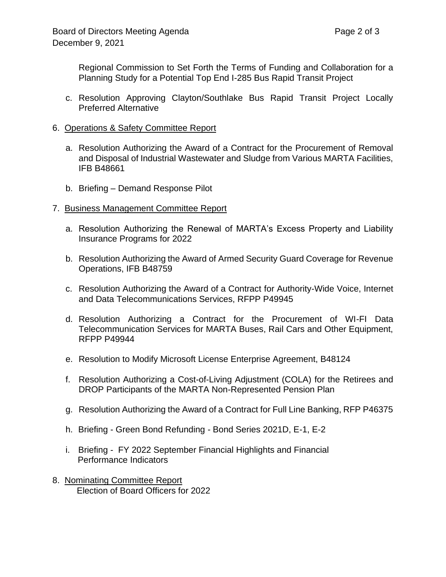Regional Commission to Set Forth the Terms of Funding and Collaboration for a Planning Study for a Potential Top End I-285 Bus Rapid Transit Project

- c. Resolution Approving Clayton/Southlake Bus Rapid Transit Project Locally Preferred Alternative
- 6. Operations & Safety Committee Report
	- a. Resolution Authorizing the Award of a Contract for the Procurement of Removal and Disposal of Industrial Wastewater and Sludge from Various MARTA Facilities, IFB B48661
	- b. Briefing Demand Response Pilot
- 7. Business Management Committee Report
	- a. Resolution Authorizing the Renewal of MARTA's Excess Property and Liability Insurance Programs for 2022
	- b. Resolution Authorizing the Award of Armed Security Guard Coverage for Revenue Operations, IFB B48759
	- c. Resolution Authorizing the Award of a Contract for Authority-Wide Voice, Internet and Data Telecommunications Services, RFPP P49945
	- d. Resolution Authorizing a Contract for the Procurement of WI-FI Data Telecommunication Services for MARTA Buses, Rail Cars and Other Equipment, RFPP P49944
	- e. Resolution to Modify Microsoft License Enterprise Agreement, B48124
	- f. Resolution Authorizing a Cost-of-Living Adjustment (COLA) for the Retirees and DROP Participants of the MARTA Non-Represented Pension Plan
	- g. Resolution Authorizing the Award of a Contract for Full Line Banking, RFP P46375
	- h. Briefing Green Bond Refunding Bond Series 2021D, E-1, E-2
	- i. Briefing FY 2022 September Financial Highlights and Financial Performance Indicators
- 8. Nominating Committee Report Election of Board Officers for 2022